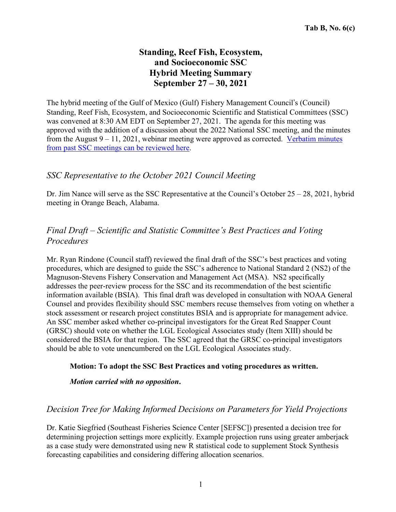# **Standing, Reef Fish, Ecosystem, and Socioeconomic SSC Hybrid Meeting Summary September 27 – 30, 2021**

The hybrid meeting of the Gulf of Mexico (Gulf) Fishery Management Council's (Council) Standing, Reef Fish, Ecosystem, and Socioeconomic Scientific and Statistical Committees (SSC) was convened at 8:30 AM EDT on September 27, 2021. The agenda for this meeting was approved with the addition of a discussion about the 2022 National SSC meeting, and the minutes from the August  $9 - 11$ , 2021, webinar meeting were approved as corrected. [Verbatim](https://gulfcouncil.org/meetings/ssc/archive/) minutes from past SSC meetings can be [reviewed](https://gulfcouncil.org/meetings/ssc/archive/) here.

### *SSC Representative to the October 2021 Council Meeting*

Dr. Jim Nance will serve as the SSC Representative at the Council's October 25 – 28, 2021, hybrid meeting in Orange Beach, Alabama.

# *Final Draft – Scientific and Statistic Committee's Best Practices and Voting Procedures*

Mr. Ryan Rindone (Council staff) reviewed the final draft of the SSC's best practices and voting procedures, which are designed to guide the SSC's adherence to National Standard 2 (NS2) of the Magnuson-Stevens Fishery Conservation and Management Act (MSA). NS2 specifically addresses the peer-review process for the SSC and its recommendation of the best scientific information available (BSIA). This final draft was developed in consultation with NOAA General Counsel and provides flexibility should SSC members recuse themselves from voting on whether a stock assessment or research project constitutes BSIA and is appropriate for management advice. An SSC member asked whether co-principal investigators for the Great Red Snapper Count (GRSC) should vote on whether the LGL Ecological Associates study (Item XIII) should be considered the BSIA for that region. The SSC agreed that the GRSC co-principal investigators should be able to vote unencumbered on the LGL Ecological Associates study.

### **Motion: To adopt the SSC Best Practices and voting procedures as written.**

### *Motion carried with no opposition***.**

## *Decision Tree for Making Informed Decisions on Parameters for Yield Projections*

Dr. Katie Siegfried (Southeast Fisheries Science Center [SEFSC]) presented a decision tree for determining projection settings more explicitly. Example projection runs using greater amberjack as a case study were demonstrated using new R statistical code to supplement Stock Synthesis forecasting capabilities and considering differing allocation scenarios.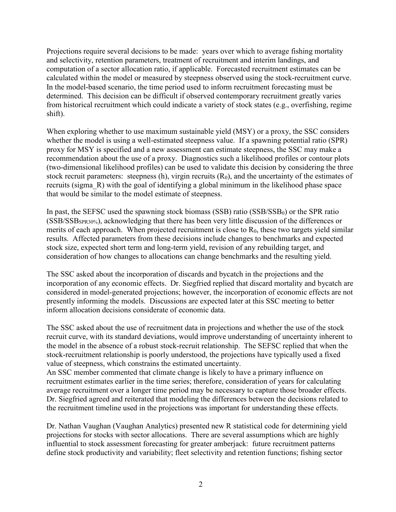Projections require several decisions to be made: years over which to average fishing mortality and selectivity, retention parameters, treatment of recruitment and interim landings, and computation of a sector allocation ratio, if applicable. Forecasted recruitment estimates can be calculated within the model or measured by steepness observed using the stock-recruitment curve. In the model-based scenario, the time period used to inform recruitment forecasting must be determined. This decision can be difficult if observed contemporary recruitment greatly varies from historical recruitment which could indicate a variety of stock states (e.g., overfishing, regime shift).

When exploring whether to use maximum sustainable yield (MSY) or a proxy, the SSC considers whether the model is using a well-estimated steepness value. If a spawning potential ratio (SPR) proxy for MSY is specified and a new assessment can estimate steepness, the SSC may make a recommendation about the use of a proxy. Diagnostics such a likelihood profiles or contour plots (two-dimensional likelihood profiles) can be used to validate this decision by considering the three stock recruit parameters: steepness (h), virgin recruits  $(R_0)$ , and the uncertainty of the estimates of recruits (sigma\_R) with the goal of identifying a global minimum in the likelihood phase space that would be similar to the model estimate of steepness.

In past, the SEFSC used the spawning stock biomass  $(SSB)$  ratio  $(SSB/SSB<sub>0</sub>)$  or the SPR ratio (SSB/SSBSPR30%), acknowledging that there has been very little discussion of the differences or merits of each approach. When projected recruitment is close to  $R_0$ , these two targets yield similar results. Affected parameters from these decisions include changes to benchmarks and expected stock size, expected short term and long-term yield, revision of any rebuilding target, and consideration of how changes to allocations can change benchmarks and the resulting yield.

The SSC asked about the incorporation of discards and bycatch in the projections and the incorporation of any economic effects. Dr. Siegfried replied that discard mortality and bycatch are considered in model-generated projections; however, the incorporation of economic effects are not presently informing the models. Discussions are expected later at this SSC meeting to better inform allocation decisions considerate of economic data.

The SSC asked about the use of recruitment data in projections and whether the use of the stock recruit curve, with its standard deviations, would improve understanding of uncertainty inherent to the model in the absence of a robust stock-recruit relationship. The SEFSC replied that when the stock-recruitment relationship is poorly understood, the projections have typically used a fixed value of steepness, which constrains the estimated uncertainty.

An SSC member commented that climate change is likely to have a primary influence on recruitment estimates earlier in the time series; therefore, consideration of years for calculating average recruitment over a longer time period may be necessary to capture those broader effects. Dr. Siegfried agreed and reiterated that modeling the differences between the decisions related to the recruitment timeline used in the projections was important for understanding these effects.

Dr. Nathan Vaughan (Vaughan Analytics) presented new R statistical code for determining yield projections for stocks with sector allocations. There are several assumptions which are highly influential to stock assessment forecasting for greater amberjack: future recruitment patterns define stock productivity and variability; fleet selectivity and retention functions; fishing sector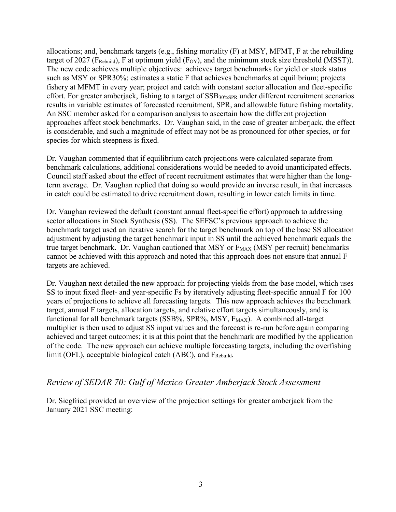allocations; and, benchmark targets (e.g., fishing mortality (F) at MSY, MFMT, F at the rebuilding target of 2027 (F<sub>Rebuild</sub>), F at optimum yield (F<sub>OY</sub>), and the minimum stock size threshold (MSST)). The new code achieves multiple objectives: achieves target benchmarks for yield or stock status such as MSY or SPR30%; estimates a static F that achieves benchmarks at equilibrium; projects fishery at MFMT in every year; project and catch with constant sector allocation and fleet-specific effort. For greater amberjack, fishing to a target of SSB30%SPR under different recruitment scenarios results in variable estimates of forecasted recruitment, SPR, and allowable future fishing mortality. An SSC member asked for a comparison analysis to ascertain how the different projection approaches affect stock benchmarks. Dr. Vaughan said, in the case of greater amberjack, the effect is considerable, and such a magnitude of effect may not be as pronounced for other species, or for species for which steepness is fixed.

Dr. Vaughan commented that if equilibrium catch projections were calculated separate from benchmark calculations, additional considerations would be needed to avoid unanticipated effects. Council staff asked about the effect of recent recruitment estimates that were higher than the longterm average. Dr. Vaughan replied that doing so would provide an inverse result, in that increases in catch could be estimated to drive recruitment down, resulting in lower catch limits in time.

Dr. Vaughan reviewed the default (constant annual fleet-specific effort) approach to addressing sector allocations in Stock Synthesis (SS). The SEFSC's previous approach to achieve the benchmark target used an iterative search for the target benchmark on top of the base SS allocation adjustment by adjusting the target benchmark input in SS until the achieved benchmark equals the true target benchmark. Dr. Vaughan cautioned that MSY or  $F_{MAX}$  (MSY per recruit) benchmarks cannot be achieved with this approach and noted that this approach does not ensure that annual F targets are achieved.

Dr. Vaughan next detailed the new approach for projecting yields from the base model, which uses SS to input fixed fleet- and year-specific Fs by iteratively adjusting fleet-specific annual F for 100 years of projections to achieve all forecasting targets. This new approach achieves the benchmark target, annual F targets, allocation targets, and relative effort targets simultaneously, and is functional for all benchmark targets (SSB%, SPR%, MSY,  $F_{MAX}$ ). A combined all-target multiplier is then used to adjust SS input values and the forecast is re-run before again comparing achieved and target outcomes; it is at this point that the benchmark are modified by the application of the code. The new approach can achieve multiple forecasting targets, including the overfishing limit (OFL), acceptable biological catch (ABC), and F<sub>Rebuild</sub>.

### *Review of SEDAR 70: Gulf of Mexico Greater Amberjack Stock Assessment*

Dr. Siegfried provided an overview of the projection settings for greater amberjack from the January 2021 SSC meeting: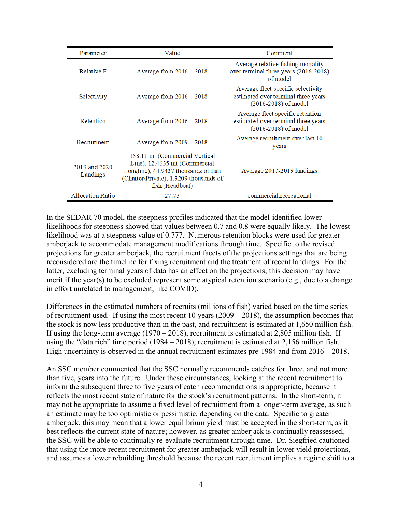| Parameter                 | Value                                                                                                                                                                | Comment                                                                                               |
|---------------------------|----------------------------------------------------------------------------------------------------------------------------------------------------------------------|-------------------------------------------------------------------------------------------------------|
| <b>Relative F</b>         | Average from $2016 - 2018$                                                                                                                                           | Average relative fishing mortality<br>over terminal three years (2016-2018)<br>of model               |
| Selectivity               | Average from $2016 - 2018$                                                                                                                                           | Average fleet specific selectivity<br>estimated over terminal three years<br>$(2016 - 2018)$ of model |
| Retention                 | Average from $2016 - 2018$                                                                                                                                           | Average fleet specific retention<br>estimated over terminal three years<br>$(2016 - 2018)$ of model   |
| Recruitment               | Average from $2009 - 2018$                                                                                                                                           | Average recruitment over last 10<br>years                                                             |
| 2019 and 2020<br>Landings | 158.11 mt (Commercial Vertical<br>Line), 12.4635 mt (Commercial<br>Longline), 44.9437 thousands of fish<br>(Charter/Private), 1.3209 thousands of<br>fish (Headboat) | Average 2017-2019 landings                                                                            |
| <b>Allocation Ratio</b>   | 27:73                                                                                                                                                                | commercial: recreational                                                                              |

In the SEDAR 70 model, the steepness profiles indicated that the model-identified lower likelihoods for steepness showed that values between 0.7 and 0.8 were equally likely. The lowest likelihood was at a steepness value of 0.777. Numerous retention blocks were used for greater amberjack to accommodate management modifications through time. Specific to the revised projections for greater amberjack, the recruitment facets of the projections settings that are being reconsidered are the timeline for fixing recruitment and the treatment of recent landings. For the latter, excluding terminal years of data has an effect on the projections; this decision may have merit if the year(s) to be excluded represent some atypical retention scenario (e.g., due to a change in effort unrelated to management, like COVID).

Differences in the estimated numbers of recruits (millions of fish) varied based on the time series of recruitment used. If using the most recent 10 years (2009 – 2018), the assumption becomes that the stock is now less productive than in the past, and recruitment is estimated at 1,650 million fish. If using the long-term average (1970 – 2018), recruitment is estimated at 2,805 million fish. If using the "data rich" time period (1984 – 2018), recruitment is estimated at 2,156 million fish. High uncertainty is observed in the annual recruitment estimates pre-1984 and from  $2016 - 2018$ .

An SSC member commented that the SSC normally recommends catches for three, and not more than five, years into the future. Under these circumstances, looking at the recent recruitment to inform the subsequent three to five years of catch recommendations is appropriate, because it reflects the most recent state of nature for the stock's recruitment patterns. In the short-term, it may not be appropriate to assume a fixed level of recruitment from a longer-term average, as such an estimate may be too optimistic or pessimistic, depending on the data. Specific to greater amberjack, this may mean that a lower equilibrium yield must be accepted in the short-term, as it best reflects the current state of nature; however, as greater amberjack is continually reassessed, the SSC will be able to continually re-evaluate recruitment through time. Dr. Siegfried cautioned that using the more recent recruitment for greater amberjack will result in lower yield projections, and assumes a lower rebuilding threshold because the recent recruitment implies a regime shift to a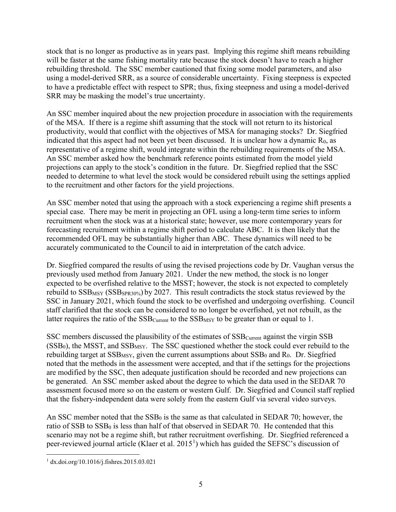stock that is no longer as productive as in years past. Implying this regime shift means rebuilding will be faster at the same fishing mortality rate because the stock doesn't have to reach a higher rebuilding threshold. The SSC member cautioned that fixing some model parameters, and also using a model-derived SRR, as a source of considerable uncertainty. Fixing steepness is expected to have a predictable effect with respect to SPR; thus, fixing steepness and using a model-derived SRR may be masking the model's true uncertainty.

An SSC member inquired about the new projection procedure in association with the requirements of the MSA. If there is a regime shift assuming that the stock will not return to its historical productivity, would that conflict with the objectives of MSA for managing stocks? Dr. Siegfried indicated that this aspect had not been yet been discussed. It is unclear how a dynamic  $R_0$ , as representative of a regime shift, would integrate within the rebuilding requirements of the MSA. An SSC member asked how the benchmark reference points estimated from the model yield projections can apply to the stock's condition in the future. Dr. Siegfried replied that the SSC needed to determine to what level the stock would be considered rebuilt using the settings applied to the recruitment and other factors for the yield projections.

An SSC member noted that using the approach with a stock experiencing a regime shift presents a special case. There may be merit in projecting an OFL using a long-term time series to inform recruitment when the stock was at a historical state; however, use more contemporary years for forecasting recruitment within a regime shift period to calculate ABC. It is then likely that the recommended OFL may be substantially higher than ABC. These dynamics will need to be accurately communicated to the Council to aid in interpretation of the catch advice.

Dr. Siegfried compared the results of using the revised projections code by Dr. Vaughan versus the previously used method from January 2021. Under the new method, the stock is no longer expected to be overfished relative to the MSST; however, the stock is not expected to completely rebuild to  $SSB_{MSY}$  ( $SSB_{SPR30\%}$ ) by 2027. This result contradicts the stock status reviewed by the SSC in January 2021, which found the stock to be overfished and undergoing overfishing. Council staff clarified that the stock can be considered to no longer be overfished, yet not rebuilt, as the latter requires the ratio of the  $SSB<sub>Current</sub>$  to the  $SSB<sub>MSY</sub>$  to be greater than or equal to 1.

SSC members discussed the plausibility of the estimates of  $SSB<sub>Current</sub>$  against the virgin  $SSB$  $(SSB<sub>0</sub>)$ , the MSST, and SSB<sub>MSY</sub>. The SSC questioned whether the stock could ever rebuild to the rebuilding target at  $SSB$ <sub>MSY</sub>, given the current assumptions about  $SSB_0$  and  $R_0$ . Dr. Siegfried noted that the methods in the assessment were accepted, and that if the settings for the projections are modified by the SSC, then adequate justification should be recorded and new projections can be generated. An SSC member asked about the degree to which the data used in the SEDAR 70 assessment focused more so on the eastern or western Gulf. Dr. Siegfried and Council staff replied that the fishery-independent data were solely from the eastern Gulf via several video surveys.

An SSC member noted that the  $SSB<sub>0</sub>$  is the same as that calculated in SEDAR 70; however, the ratio of SSB to  $SSB<sub>0</sub>$  is less than half of that observed in SEDAR 70. He contended that this scenario may not be a regime shift, but rather recruitment overfishing. Dr. Siegfried referenced a peer-reviewed journal article (Klaer et al. 20[1](#page-4-0)5<sup>1</sup>) which has guided the SEFSC's discussion of

<span id="page-4-0"></span> <sup>1</sup> dx.doi.org/10.1016/j.fishres.2015.03.021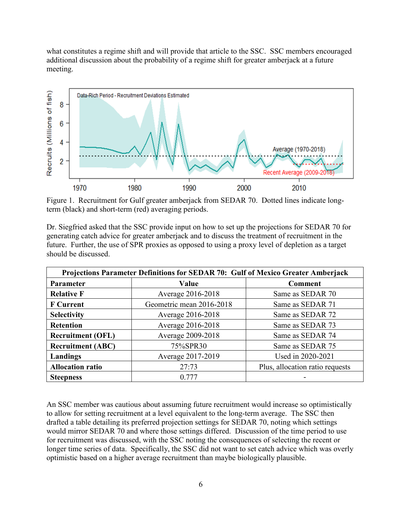what constitutes a regime shift and will provide that article to the SSC. SSC members encouraged additional discussion about the probability of a regime shift for greater amberjack at a future meeting.



Figure 1. Recruitment for Gulf greater amberjack from SEDAR 70. Dotted lines indicate longterm (black) and short-term (red) averaging periods.

Dr. Siegfried asked that the SSC provide input on how to set up the projections for SEDAR 70 for generating catch advice for greater amberjack and to discuss the treatment of recruitment in the future. Further, the use of SPR proxies as opposed to using a proxy level of depletion as a target should be discussed.

| Projections Parameter Definitions for SEDAR 70: Gulf of Mexico Greater Amberjack |                          |                                 |
|----------------------------------------------------------------------------------|--------------------------|---------------------------------|
| Parameter                                                                        | Value                    | <b>Comment</b>                  |
| <b>Relative F</b>                                                                | Average 2016-2018        | Same as SEDAR 70                |
| <b>F</b> Current                                                                 | Geometric mean 2016-2018 | Same as SEDAR 71                |
| <b>Selectivity</b>                                                               | Average 2016-2018        | Same as SEDAR 72                |
| <b>Retention</b>                                                                 | Average 2016-2018        | Same as SEDAR 73                |
| <b>Recruitment (OFL)</b>                                                         | Average 2009-2018        | Same as SEDAR 74                |
| <b>Recruitment (ABC)</b>                                                         | 75%SPR30                 | Same as SEDAR 75                |
| Landings                                                                         | Average 2017-2019        | Used in 2020-2021               |
| <b>Allocation ratio</b>                                                          | 27:73                    | Plus, allocation ratio requests |
| <b>Steepness</b>                                                                 | 0.777                    |                                 |

An SSC member was cautious about assuming future recruitment would increase so optimistically to allow for setting recruitment at a level equivalent to the long-term average. The SSC then drafted a table detailing its preferred projection settings for SEDAR 70, noting which settings would mirror SEDAR 70 and where those settings differed. Discussion of the time period to use for recruitment was discussed, with the SSC noting the consequences of selecting the recent or longer time series of data. Specifically, the SSC did not want to set catch advice which was overly optimistic based on a higher average recruitment than maybe biologically plausible.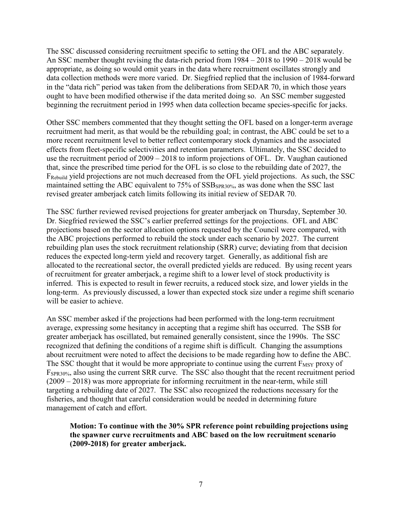The SSC discussed considering recruitment specific to setting the OFL and the ABC separately. An SSC member thought revising the data-rich period from 1984 – 2018 to 1990 – 2018 would be appropriate, as doing so would omit years in the data where recruitment oscillates strongly and data collection methods were more varied. Dr. Siegfried replied that the inclusion of 1984-forward in the "data rich" period was taken from the deliberations from SEDAR 70, in which those years ought to have been modified otherwise if the data merited doing so. An SSC member suggested beginning the recruitment period in 1995 when data collection became species-specific for jacks.

Other SSC members commented that they thought setting the OFL based on a longer-term average recruitment had merit, as that would be the rebuilding goal; in contrast, the ABC could be set to a more recent recruitment level to better reflect contemporary stock dynamics and the associated effects from fleet-specific selectivities and retention parameters. Ultimately, the SSC decided to use the recruitment period of 2009 – 2018 to inform projections of OFL. Dr. Vaughan cautioned that, since the prescribed time period for the OFL is so close to the rebuilding date of 2027, the FRebuild yield projections are not much decreased from the OFL yield projections. As such, the SSC maintained setting the ABC equivalent to 75% of SSB<sub>SPR30%</sub>, as was done when the SSC last revised greater amberjack catch limits following its initial review of SEDAR 70.

The SSC further reviewed revised projections for greater amberjack on Thursday, September 30. Dr. Siegfried reviewed the SSC's earlier preferred settings for the projections. OFL and ABC projections based on the sector allocation options requested by the Council were compared, with the ABC projections performed to rebuild the stock under each scenario by 2027. The current rebuilding plan uses the stock recruitment relationship (SRR) curve; deviating from that decision reduces the expected long-term yield and recovery target. Generally, as additional fish are allocated to the recreational sector, the overall predicted yields are reduced. By using recent years of recruitment for greater amberjack, a regime shift to a lower level of stock productivity is inferred. This is expected to result in fewer recruits, a reduced stock size, and lower yields in the long-term. As previously discussed, a lower than expected stock size under a regime shift scenario will be easier to achieve.

An SSC member asked if the projections had been performed with the long-term recruitment average, expressing some hesitancy in accepting that a regime shift has occurred. The SSB for greater amberjack has oscillated, but remained generally consistent, since the 1990s. The SSC recognized that defining the conditions of a regime shift is difficult. Changing the assumptions about recruitment were noted to affect the decisions to be made regarding how to define the ABC. The SSC thought that it would be more appropriate to continue using the current  $F_{MSY}$  proxy of FSPR30%, also using the current SRR curve. The SSC also thought that the recent recruitment period (2009 – 2018) was more appropriate for informing recruitment in the near-term, while still targeting a rebuilding date of 2027. The SSC also recognized the reductions necessary for the fisheries, and thought that careful consideration would be needed in determining future management of catch and effort.

**Motion: To continue with the 30% SPR reference point rebuilding projections using the spawner curve recruitments and ABC based on the low recruitment scenario (2009-2018) for greater amberjack.**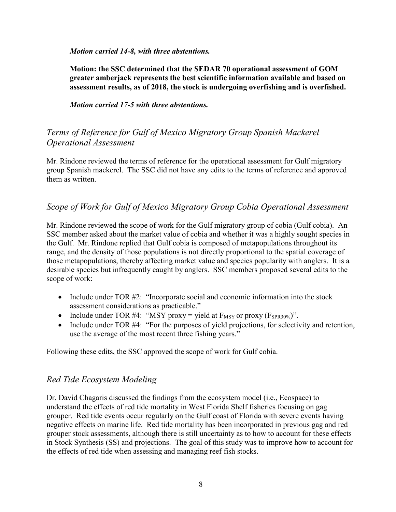*Motion carried 14-8, with three abstentions.*

**Motion: the SSC determined that the SEDAR 70 operational assessment of GOM greater amberjack represents the best scientific information available and based on assessment results, as of 2018, the stock is undergoing overfishing and is overfished.**

*Motion carried 17-5 with three abstentions.*

## *Terms of Reference for Gulf of Mexico Migratory Group Spanish Mackerel Operational Assessment*

Mr. Rindone reviewed the terms of reference for the operational assessment for Gulf migratory group Spanish mackerel. The SSC did not have any edits to the terms of reference and approved them as written.

## *Scope of Work for Gulf of Mexico Migratory Group Cobia Operational Assessment*

Mr. Rindone reviewed the scope of work for the Gulf migratory group of cobia (Gulf cobia). An SSC member asked about the market value of cobia and whether it was a highly sought species in the Gulf. Mr. Rindone replied that Gulf cobia is composed of metapopulations throughout its range, and the density of those populations is not directly proportional to the spatial coverage of those metapopulations, thereby affecting market value and species popularity with anglers. It is a desirable species but infrequently caught by anglers. SSC members proposed several edits to the scope of work:

- Include under TOR #2: "Incorporate social and economic information into the stock assessment considerations as practicable."
- Include under TOR #4: "MSY proxy = yield at  $F_{MSY}$  or proxy ( $F_{SPR30\%}$ )".
- Include under TOR #4: "For the purposes of yield projections, for selectivity and retention, use the average of the most recent three fishing years."

Following these edits, the SSC approved the scope of work for Gulf cobia.

## *Red Tide Ecosystem Modeling*

Dr. David Chagaris discussed the findings from the ecosystem model (i.e., Ecospace) to understand the effects of red tide mortality in West Florida Shelf fisheries focusing on gag grouper. Red tide events occur regularly on the Gulf coast of Florida with severe events having negative effects on marine life. Red tide mortality has been incorporated in previous gag and red grouper stock assessments, although there is still uncertainty as to how to account for these effects in Stock Synthesis (SS) and projections. The goal of this study was to improve how to account for the effects of red tide when assessing and managing reef fish stocks.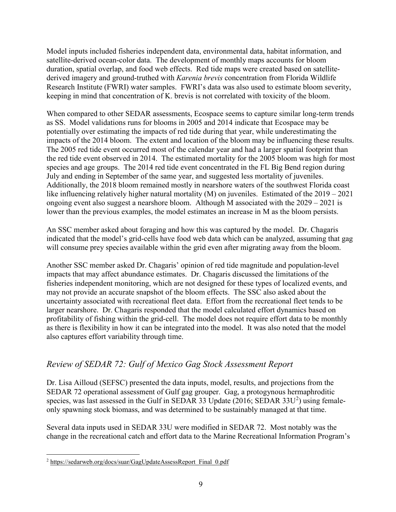Model inputs included fisheries independent data, environmental data, habitat information, and satellite-derived ocean-color data. The development of monthly maps accounts for bloom duration, spatial overlap, and food web effects. Red tide maps were created based on satellitederived imagery and ground-truthed with *Karenia brevis* concentration from Florida Wildlife Research Institute (FWRI) water samples. FWRI's data was also used to estimate bloom severity, keeping in mind that concentration of K. brevis is not correlated with toxicity of the bloom.

When compared to other SEDAR assessments, Ecospace seems to capture similar long-term trends as SS. Model validations runs for blooms in 2005 and 2014 indicate that Ecospace may be potentially over estimating the impacts of red tide during that year, while underestimating the impacts of the 2014 bloom. The extent and location of the bloom may be influencing these results. The 2005 red tide event occurred most of the calendar year and had a larger spatial footprint than the red tide event observed in 2014. The estimated mortality for the 2005 bloom was high for most species and age groups. The 2014 red tide event concentrated in the FL Big Bend region during July and ending in September of the same year, and suggested less mortality of juveniles. Additionally, the 2018 bloom remained mostly in nearshore waters of the southwest Florida coast like influencing relatively higher natural mortality (M) on juveniles. Estimated of the 2019 – 2021 ongoing event also suggest a nearshore bloom. Although M associated with the 2029 – 2021 is lower than the previous examples, the model estimates an increase in M as the bloom persists.

An SSC member asked about foraging and how this was captured by the model. Dr. Chagaris indicated that the model's grid-cells have food web data which can be analyzed, assuming that gag will consume prey species available within the grid even after migrating away from the bloom.

Another SSC member asked Dr. Chagaris' opinion of red tide magnitude and population-level impacts that may affect abundance estimates. Dr. Chagaris discussed the limitations of the fisheries independent monitoring, which are not designed for these types of localized events, and may not provide an accurate snapshot of the bloom effects. The SSC also asked about the uncertainty associated with recreational fleet data. Effort from the recreational fleet tends to be larger nearshore. Dr. Chagaris responded that the model calculated effort dynamics based on profitability of fishing within the grid-cell. The model does not require effort data to be monthly as there is flexibility in how it can be integrated into the model. It was also noted that the model also captures effort variability through time.

# *Review of SEDAR 72: Gulf of Mexico Gag Stock Assessment Report*

Dr. Lisa Ailloud (SEFSC) presented the data inputs, model, results, and projections from the SEDAR 72 operational assessment of Gulf gag grouper. Gag, a protogynous hermaphroditic species, was last assessed in the Gulf in SEDAR 33 Update ([2](#page-8-0)016; SEDAR 33U<sup>2</sup>) using femaleonly spawning stock biomass, and was determined to be sustainably managed at that time.

Several data inputs used in SEDAR 33U were modified in SEDAR 72. Most notably was the change in the recreational catch and effort data to the Marine Recreational Information Program's

<span id="page-8-0"></span><sup>&</sup>lt;sup>2</sup> [https://sedarweb.org/docs/suar/GagUpdateAssessReport\\_Final\\_0.pdf](https://sedarweb.org/docs/suar/GagUpdateAssessReport_Final_0.pdf)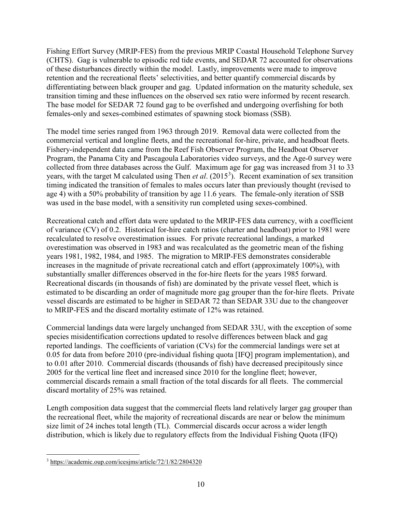Fishing Effort Survey (MRIP-FES) from the previous MRIP Coastal Household Telephone Survey (CHTS). Gag is vulnerable to episodic red tide events, and SEDAR 72 accounted for observations of these disturbances directly within the model. Lastly, improvements were made to improve retention and the recreational fleets' selectivities, and better quantify commercial discards by differentiating between black grouper and gag. Updated information on the maturity schedule, sex transition timing and these influences on the observed sex ratio were informed by recent research. The base model for SEDAR 72 found gag to be overfished and undergoing overfishing for both females-only and sexes-combined estimates of spawning stock biomass (SSB).

The model time series ranged from 1963 through 2019. Removal data were collected from the commercial vertical and longline fleets, and the recreational for-hire, private, and headboat fleets. Fishery-independent data came from the Reef Fish Observer Program, the Headboat Observer Program, the Panama City and Pascagoula Laboratories video surveys, and the Age-0 survey were collected from three databases across the Gulf. Maximum age for gag was increased from 31 to 33 years, with the target M calculated using Then *et al*. (2015[3](#page-9-0) ). Recent examination of sex transition timing indicated the transition of females to males occurs later than previously thought (revised to age 4) with a 50% probability of transition by age 11.6 years. The female-only iteration of SSB was used in the base model, with a sensitivity run completed using sexes-combined.

Recreational catch and effort data were updated to the MRIP-FES data currency, with a coefficient of variance (CV) of 0.2. Historical for-hire catch ratios (charter and headboat) prior to 1981 were recalculated to resolve overestimation issues. For private recreational landings, a marked overestimation was observed in 1983 and was recalculated as the geometric mean of the fishing years 1981, 1982, 1984, and 1985. The migration to MRIP-FES demonstrates considerable increases in the magnitude of private recreational catch and effort (approximately 100%), with substantially smaller differences observed in the for-hire fleets for the years 1985 forward. Recreational discards (in thousands of fish) are dominated by the private vessel fleet, which is estimated to be discarding an order of magnitude more gag grouper than the for-hire fleets. Private vessel discards are estimated to be higher in SEDAR 72 than SEDAR 33U due to the changeover to MRIP-FES and the discard mortality estimate of 12% was retained.

Commercial landings data were largely unchanged from SEDAR 33U, with the exception of some species misidentification corrections updated to resolve differences between black and gag reported landings. The coefficients of variation (CVs) for the commercial landings were set at 0.05 for data from before 2010 (pre-individual fishing quota [IFQ] program implementation), and to 0.01 after 2010. Commercial discards (thousands of fish) have decreased precipitously since 2005 for the vertical line fleet and increased since 2010 for the longline fleet; however, commercial discards remain a small fraction of the total discards for all fleets. The commercial discard mortality of 25% was retained.

Length composition data suggest that the commercial fleets land relatively larger gag grouper than the recreational fleet, while the majority of recreational discards are near or below the minimum size limit of 24 inches total length (TL). Commercial discards occur across a wider length distribution, which is likely due to regulatory effects from the Individual Fishing Quota (IFQ)

<span id="page-9-0"></span> <sup>3</sup> <https://academic.oup.com/icesjms/article/72/1/82/2804320>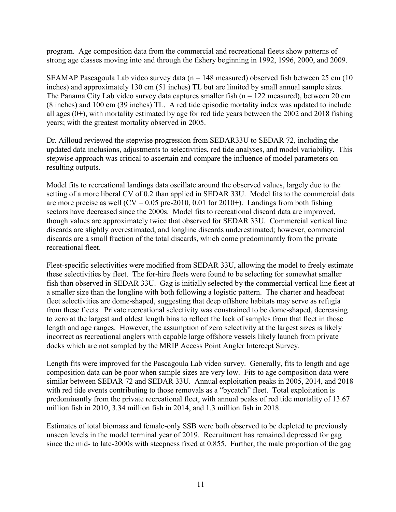program. Age composition data from the commercial and recreational fleets show patterns of strong age classes moving into and through the fishery beginning in 1992, 1996, 2000, and 2009.

SEAMAP Pascagoula Lab video survey data ( $n = 148$  measured) observed fish between 25 cm (10 inches) and approximately 130 cm (51 inches) TL but are limited by small annual sample sizes. The Panama City Lab video survey data captures smaller fish ( $n = 122$  measured), between 20 cm (8 inches) and 100 cm (39 inches) TL. A red tide episodic mortality index was updated to include all ages (0+), with mortality estimated by age for red tide years between the 2002 and 2018 fishing years; with the greatest mortality observed in 2005.

Dr. Ailloud reviewed the stepwise progression from SEDAR33U to SEDAR 72, including the updated data inclusions, adjustments to selectivities, red tide analyses, and model variability. This stepwise approach was critical to ascertain and compare the influence of model parameters on resulting outputs.

Model fits to recreational landings data oscillate around the observed values, largely due to the setting of a more liberal CV of 0.2 than applied in SEDAR 33U. Model fits to the commercial data are more precise as well ( $CV = 0.05$  pre-2010, 0.01 for 2010+). Landings from both fishing sectors have decreased since the 2000s. Model fits to recreational discard data are improved, though values are approximately twice that observed for SEDAR 33U. Commercial vertical line discards are slightly overestimated, and longline discards underestimated; however, commercial discards are a small fraction of the total discards, which come predominantly from the private recreational fleet.

Fleet-specific selectivities were modified from SEDAR 33U, allowing the model to freely estimate these selectivities by fleet. The for-hire fleets were found to be selecting for somewhat smaller fish than observed in SEDAR 33U. Gag is initially selected by the commercial vertical line fleet at a smaller size than the longline with both following a logistic pattern. The charter and headboat fleet selectivities are dome-shaped, suggesting that deep offshore habitats may serve as refugia from these fleets. Private recreational selectivity was constrained to be dome-shaped, decreasing to zero at the largest and oldest length bins to reflect the lack of samples from that fleet in those length and age ranges. However, the assumption of zero selectivity at the largest sizes is likely incorrect as recreational anglers with capable large offshore vessels likely launch from private docks which are not sampled by the MRIP Access Point Angler Intercept Survey.

Length fits were improved for the Pascagoula Lab video survey. Generally, fits to length and age composition data can be poor when sample sizes are very low. Fits to age composition data were similar between SEDAR 72 and SEDAR 33U. Annual exploitation peaks in 2005, 2014, and 2018 with red tide events contributing to those removals as a "bycatch" fleet. Total exploitation is predominantly from the private recreational fleet, with annual peaks of red tide mortality of 13.67 million fish in 2010, 3.34 million fish in 2014, and 1.3 million fish in 2018.

Estimates of total biomass and female-only SSB were both observed to be depleted to previously unseen levels in the model terminal year of 2019. Recruitment has remained depressed for gag since the mid- to late-2000s with steepness fixed at 0.855. Further, the male proportion of the gag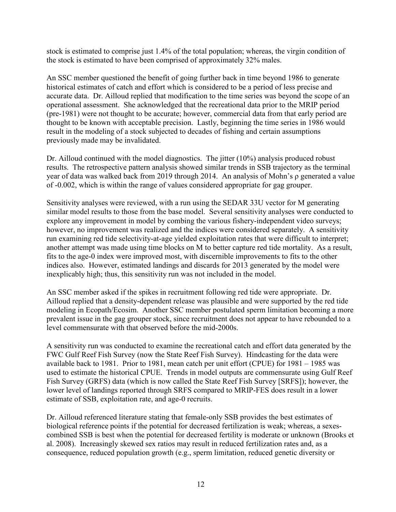stock is estimated to comprise just 1.4% of the total population; whereas, the virgin condition of the stock is estimated to have been comprised of approximately 32% males.

An SSC member questioned the benefit of going further back in time beyond 1986 to generate historical estimates of catch and effort which is considered to be a period of less precise and accurate data. Dr. Ailloud replied that modification to the time series was beyond the scope of an operational assessment. She acknowledged that the recreational data prior to the MRIP period (pre-1981) were not thought to be accurate; however, commercial data from that early period are thought to be known with acceptable precision. Lastly, beginning the time series in 1986 would result in the modeling of a stock subjected to decades of fishing and certain assumptions previously made may be invalidated.

Dr. Ailloud continued with the model diagnostics. The jitter (10%) analysis produced robust results. The retrospective pattern analysis showed similar trends in SSB trajectory as the terminal year of data was walked back from 2019 through 2014. An analysis of Mohn's ρ generated a value of -0.002, which is within the range of values considered appropriate for gag grouper.

Sensitivity analyses were reviewed, with a run using the SEDAR 33U vector for M generating similar model results to those from the base model. Several sensitivity analyses were conducted to explore any improvement in model by combing the various fishery-independent video surveys; however, no improvement was realized and the indices were considered separately. A sensitivity run examining red tide selectivity-at-age yielded exploitation rates that were difficult to interpret; another attempt was made using time blocks on M to better capture red tide mortality. As a result, fits to the age-0 index were improved most, with discernible improvements to fits to the other indices also. However, estimated landings and discards for 2013 generated by the model were inexplicably high; thus, this sensitivity run was not included in the model.

An SSC member asked if the spikes in recruitment following red tide were appropriate. Dr. Ailloud replied that a density-dependent release was plausible and were supported by the red tide modeling in Ecopath/Ecosim. Another SSC member postulated sperm limitation becoming a more prevalent issue in the gag grouper stock, since recruitment does not appear to have rebounded to a level commensurate with that observed before the mid-2000s.

A sensitivity run was conducted to examine the recreational catch and effort data generated by the FWC Gulf Reef Fish Survey (now the State Reef Fish Survey). Hindcasting for the data were available back to 1981. Prior to 1981, mean catch per unit effort (CPUE) for 1981 – 1985 was used to estimate the historical CPUE. Trends in model outputs are commensurate using Gulf Reef Fish Survey (GRFS) data (which is now called the State Reef Fish Survey [SRFS]); however, the lower level of landings reported through SRFS compared to MRIP-FES does result in a lower estimate of SSB, exploitation rate, and age-0 recruits.

Dr. Ailloud referenced literature stating that female-only SSB provides the best estimates of biological reference points if the potential for decreased fertilization is weak; whereas, a sexescombined SSB is best when the potential for decreased fertility is moderate or unknown (Brooks et al. 2008). Increasingly skewed sex ratios may result in reduced fertilization rates and, as a consequence, reduced population growth (e.g., sperm limitation, reduced genetic diversity or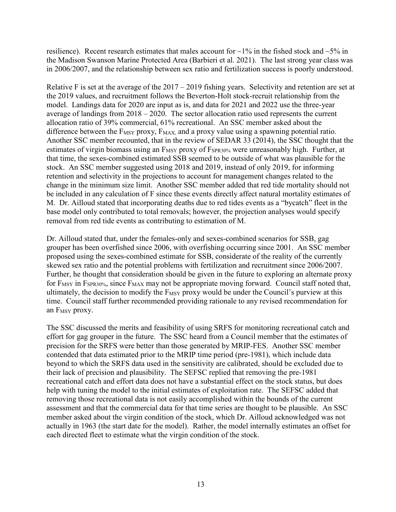resilience). Recent research estimates that males account for  $\sim$ 1% in the fished stock and  $\sim$ 5% in the Madison Swanson Marine Protected Area (Barbieri et al. 2021). The last strong year class was in 2006/2007, and the relationship between sex ratio and fertilization success is poorly understood.

Relative F is set at the average of the  $2017 - 2019$  fishing years. Selectivity and retention are set at the 2019 values, and recruitment follows the Beverton-Holt stock-recruit relationship from the model. Landings data for 2020 are input as is, and data for 2021 and 2022 use the three-year average of landings from 2018 – 2020. The sector allocation ratio used represents the current allocation ratio of 39% commercial, 61% recreational. An SSC member asked about the difference between the  $F_{MSY}$  proxy,  $F_{MAX}$  and a proxy value using a spawning potential ratio. Another SSC member recounted, that in the review of SEDAR 33 (2014), the SSC thought that the estimates of virgin biomass using an F<sub>MSY</sub> proxy of F<sub>SPR30%</sub> were unreasonably high. Further, at that time, the sexes-combined estimated SSB seemed to be outside of what was plausible for the stock. An SSC member suggested using 2018 and 2019, instead of only 2019, for informing retention and selectivity in the projections to account for management changes related to the change in the minimum size limit. Another SSC member added that red tide mortality should not be included in any calculation of F since these events directly affect natural mortality estimates of M. Dr. Ailloud stated that incorporating deaths due to red tides events as a "bycatch" fleet in the base model only contributed to total removals; however, the projection analyses would specify removal from red tide events as contributing to estimation of M.

Dr. Ailloud stated that, under the females-only and sexes-combined scenarios for SSB, gag grouper has been overfished since 2006, with overfishing occurring since 2001. An SSC member proposed using the sexes-combined estimate for SSB, considerate of the reality of the currently skewed sex ratio and the potential problems with fertilization and recruitment since 2006/2007. Further, he thought that consideration should be given in the future to exploring an alternate proxy for F<sub>MSY</sub> in F<sub>SPR30%</sub>, since F<sub>MAX</sub> may not be appropriate moving forward. Council staff noted that, ultimately, the decision to modify the  $F_{MSY}$  proxy would be under the Council's purview at this time. Council staff further recommended providing rationale to any revised recommendation for an  $F_{MSY}$  proxy.

The SSC discussed the merits and feasibility of using SRFS for monitoring recreational catch and effort for gag grouper in the future. The SSC heard from a Council member that the estimates of precision for the SRFS were better than those generated by MRIP-FES. Another SSC member contended that data estimated prior to the MRIP time period (pre-1981), which include data beyond to which the SRFS data used in the sensitivity are calibrated, should be excluded due to their lack of precision and plausibility. The SEFSC replied that removing the pre-1981 recreational catch and effort data does not have a substantial effect on the stock status, but does help with tuning the model to the initial estimates of exploitation rate. The SEFSC added that removing those recreational data is not easily accomplished within the bounds of the current assessment and that the commercial data for that time series are thought to be plausible. An SSC member asked about the virgin condition of the stock, which Dr. Ailloud acknowledged was not actually in 1963 (the start date for the model). Rather, the model internally estimates an offset for each directed fleet to estimate what the virgin condition of the stock.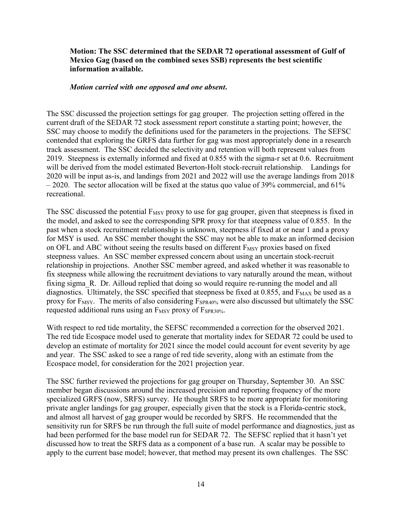#### **Motion: The SSC determined that the SEDAR 72 operational assessment of Gulf of Mexico Gag (based on the combined sexes SSB) represents the best scientific information available.**

#### *Motion carried with one opposed and one absent***.**

The SSC discussed the projection settings for gag grouper. The projection setting offered in the current draft of the SEDAR 72 stock assessment report constitute a starting point; however, the SSC may choose to modify the definitions used for the parameters in the projections. The SEFSC contended that exploring the GRFS data further for gag was most appropriately done in a research track assessment. The SSC decided the selectivity and retention will both represent values from 2019. Steepness is externally informed and fixed at 0.855 with the sigma-r set at 0.6. Recruitment will be derived from the model estimated Beverton-Holt stock-recruit relationship. Landings for 2020 will be input as-is, and landings from 2021 and 2022 will use the average landings from 2018  $-2020$ . The sector allocation will be fixed at the status quo value of 39% commercial, and 61% recreational.

The SSC discussed the potential  $F_{MSY}$  proxy to use for gag grouper, given that steepness is fixed in the model, and asked to see the corresponding SPR proxy for that steepness value of 0.855. In the past when a stock recruitment relationship is unknown, steepness if fixed at or near 1 and a proxy for MSY is used. An SSC member thought the SSC may not be able to make an informed decision on OFL and ABC without seeing the results based on different  $F_{MSY}$  proxies based on fixed steepness values. An SSC member expressed concern about using an uncertain stock-recruit relationship in projections. Another SSC member agreed, and asked whether it was reasonable to fix steepness while allowing the recruitment deviations to vary naturally around the mean, without fixing sigma R. Dr. Ailloud replied that doing so would require re-running the model and all diagnostics. Ultimately, the SSC specified that steepness be fixed at  $0.855$ , and  $F_{MAX}$  be used as a proxy for  $F_{MSY}$ . The merits of also considering  $F_{SPR40\%}$  were also discussed but ultimately the SSC requested additional runs using an  $F_{MSY}$  proxy of  $F_{SPR30\%}$ .

With respect to red tide mortality, the SEFSC recommended a correction for the observed 2021. The red tide Ecospace model used to generate that mortality index for SEDAR 72 could be used to develop an estimate of mortality for 2021 since the model could account for event severity by age and year. The SSC asked to see a range of red tide severity, along with an estimate from the Ecospace model, for consideration for the 2021 projection year.

The SSC further reviewed the projections for gag grouper on Thursday, September 30. An SSC member began discussions around the increased precision and reporting frequency of the more specialized GRFS (now, SRFS) survey. He thought SRFS to be more appropriate for monitoring private angler landings for gag grouper, especially given that the stock is a Florida-centric stock, and almost all harvest of gag grouper would be recorded by SRFS. He recommended that the sensitivity run for SRFS be run through the full suite of model performance and diagnostics, just as had been performed for the base model run for SEDAR 72. The SEFSC replied that it hasn't yet discussed how to treat the SRFS data as a component of a base run. A scalar may be possible to apply to the current base model; however, that method may present its own challenges. The SSC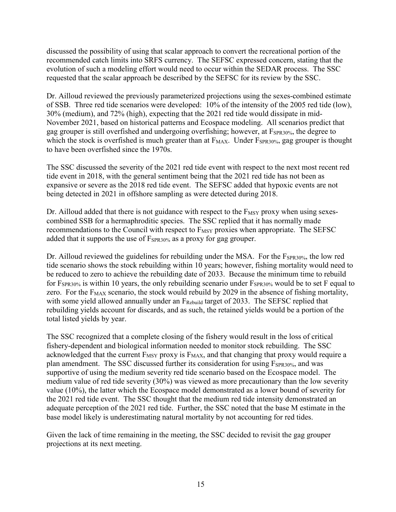discussed the possibility of using that scalar approach to convert the recreational portion of the recommended catch limits into SRFS currency. The SEFSC expressed concern, stating that the evolution of such a modeling effort would need to occur within the SEDAR process. The SSC requested that the scalar approach be described by the SEFSC for its review by the SSC.

Dr. Ailloud reviewed the previously parameterized projections using the sexes-combined estimate of SSB. Three red tide scenarios were developed: 10% of the intensity of the 2005 red tide (low), 30% (medium), and 72% (high), expecting that the 2021 red tide would dissipate in mid-November 2021, based on historical patterns and Ecospace modeling. All scenarios predict that gag grouper is still overfished and undergoing overfishing; however, at  $F_{SPR30\%}$ , the degree to which the stock is overfished is much greater than at  $F_{MAX}$ . Under  $F_{SPR30\%}$ , gag grouper is thought to have been overfished since the 1970s.

The SSC discussed the severity of the 2021 red tide event with respect to the next most recent red tide event in 2018, with the general sentiment being that the 2021 red tide has not been as expansive or severe as the 2018 red tide event. The SEFSC added that hypoxic events are not being detected in 2021 in offshore sampling as were detected during 2018.

Dr. Ailloud added that there is not guidance with respect to the  $F_{MSY}$  proxy when using sexescombined SSB for a hermaphroditic species. The SSC replied that it has normally made recommendations to the Council with respect to  $F_{MSY}$  proxies when appropriate. The SEFSC added that it supports the use of  $F_{SPR30\%}$  as a proxy for gag grouper.

Dr. Ailloud reviewed the guidelines for rebuilding under the MSA. For the  $F_{SPR30\%}$ , the low red tide scenario shows the stock rebuilding within 10 years; however, fishing mortality would need to be reduced to zero to achieve the rebuilding date of 2033. Because the minimum time to rebuild for  $F_{SPR30\%}$  is within 10 years, the only rebuilding scenario under  $F_{SPR30\%}$  would be to set F equal to zero. For the  $F_{MAX}$  scenario, the stock would rebuild by 2029 in the absence of fishing mortality, with some yield allowed annually under an F<sub>Rebuild</sub> target of 2033. The SEFSC replied that rebuilding yields account for discards, and as such, the retained yields would be a portion of the total listed yields by year.

The SSC recognized that a complete closing of the fishery would result in the loss of critical fishery-dependent and biological information needed to monitor stock rebuilding. The SSC acknowledged that the current  $F_{MSY}$  proxy is  $F_{MAX}$ , and that changing that proxy would require a plan amendment. The SSC discussed further its consideration for using F<sub>SPR30%</sub>, and was supportive of using the medium severity red tide scenario based on the Ecospace model. The medium value of red tide severity (30%) was viewed as more precautionary than the low severity value (10%), the latter which the Ecospace model demonstrated as a lower bound of severity for the 2021 red tide event. The SSC thought that the medium red tide intensity demonstrated an adequate perception of the 2021 red tide. Further, the SSC noted that the base M estimate in the base model likely is underestimating natural mortality by not accounting for red tides.

Given the lack of time remaining in the meeting, the SSC decided to revisit the gag grouper projections at its next meeting.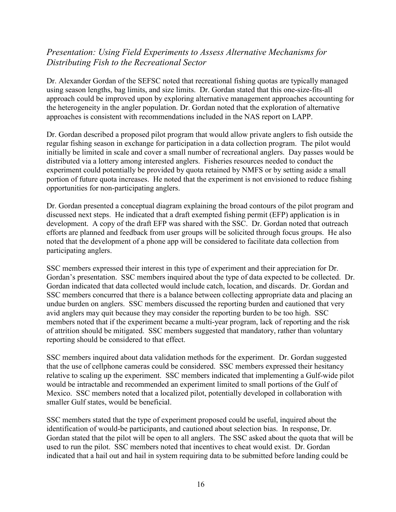# *Presentation: Using Field Experiments to Assess Alternative Mechanisms for Distributing Fish to the Recreational Sector*

Dr. Alexander Gordan of the SEFSC noted that recreational fishing quotas are typically managed using season lengths, bag limits, and size limits. Dr. Gordan stated that this one-size-fits-all approach could be improved upon by exploring alternative management approaches accounting for the heterogeneity in the angler population. Dr. Gordan noted that the exploration of alternative approaches is consistent with recommendations included in the NAS report on LAPP.

Dr. Gordan described a proposed pilot program that would allow private anglers to fish outside the regular fishing season in exchange for participation in a data collection program. The pilot would initially be limited in scale and cover a small number of recreational anglers. Day passes would be distributed via a lottery among interested anglers. Fisheries resources needed to conduct the experiment could potentially be provided by quota retained by NMFS or by setting aside a small portion of future quota increases. He noted that the experiment is not envisioned to reduce fishing opportunities for non-participating anglers.

Dr. Gordan presented a conceptual diagram explaining the broad contours of the pilot program and discussed next steps. He indicated that a draft exempted fishing permit (EFP) application is in development. A copy of the draft EFP was shared with the SSC. Dr. Gordan noted that outreach efforts are planned and feedback from user groups will be solicited through focus groups. He also noted that the development of a phone app will be considered to facilitate data collection from participating anglers.

SSC members expressed their interest in this type of experiment and their appreciation for Dr. Gordan's presentation. SSC members inquired about the type of data expected to be collected. Dr. Gordan indicated that data collected would include catch, location, and discards. Dr. Gordan and SSC members concurred that there is a balance between collecting appropriate data and placing an undue burden on anglers. SSC members discussed the reporting burden and cautioned that very avid anglers may quit because they may consider the reporting burden to be too high. SSC members noted that if the experiment became a multi-year program, lack of reporting and the risk of attrition should be mitigated. SSC members suggested that mandatory, rather than voluntary reporting should be considered to that effect.

SSC members inquired about data validation methods for the experiment. Dr. Gordan suggested that the use of cellphone cameras could be considered. SSC members expressed their hesitancy relative to scaling up the experiment. SSC members indicated that implementing a Gulf-wide pilot would be intractable and recommended an experiment limited to small portions of the Gulf of Mexico. SSC members noted that a localized pilot, potentially developed in collaboration with smaller Gulf states, would be beneficial.

SSC members stated that the type of experiment proposed could be useful, inquired about the identification of would-be participants, and cautioned about selection bias. In response, Dr. Gordan stated that the pilot will be open to all anglers. The SSC asked about the quota that will be used to run the pilot. SSC members noted that incentives to cheat would exist. Dr. Gordan indicated that a hail out and hail in system requiring data to be submitted before landing could be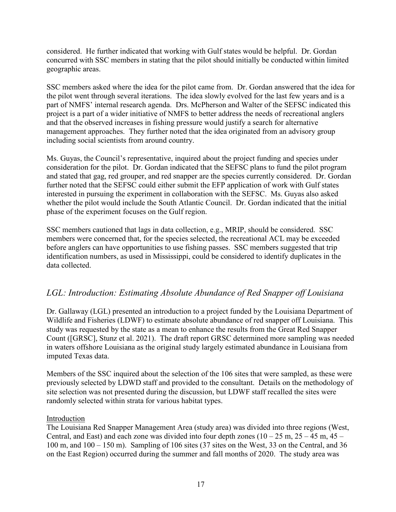considered. He further indicated that working with Gulf states would be helpful. Dr. Gordan concurred with SSC members in stating that the pilot should initially be conducted within limited geographic areas.

SSC members asked where the idea for the pilot came from. Dr. Gordan answered that the idea for the pilot went through several iterations. The idea slowly evolved for the last few years and is a part of NMFS' internal research agenda. Drs. McPherson and Walter of the SEFSC indicated this project is a part of a wider initiative of NMFS to better address the needs of recreational anglers and that the observed increases in fishing pressure would justify a search for alternative management approaches. They further noted that the idea originated from an advisory group including social scientists from around country.

Ms. Guyas, the Council's representative, inquired about the project funding and species under consideration for the pilot. Dr. Gordan indicated that the SEFSC plans to fund the pilot program and stated that gag, red grouper, and red snapper are the species currently considered. Dr. Gordan further noted that the SEFSC could either submit the EFP application of work with Gulf states interested in pursuing the experiment in collaboration with the SEFSC. Ms. Guyas also asked whether the pilot would include the South Atlantic Council. Dr. Gordan indicated that the initial phase of the experiment focuses on the Gulf region.

SSC members cautioned that lags in data collection, e.g., MRIP, should be considered. SSC members were concerned that, for the species selected, the recreational ACL may be exceeded before anglers can have opportunities to use fishing passes. SSC members suggested that trip identification numbers, as used in Mississippi, could be considered to identify duplicates in the data collected.

# *LGL: Introduction: Estimating Absolute Abundance of Red Snapper off Louisiana*

Dr. Gallaway (LGL) presented an introduction to a project funded by the Louisiana Department of Wildlife and Fisheries (LDWF) to estimate absolute abundance of red snapper off Louisiana. This study was requested by the state as a mean to enhance the results from the Great Red Snapper Count ([GRSC], Stunz et al. 2021). The draft report GRSC determined more sampling was needed in waters offshore Louisiana as the original study largely estimated abundance in Louisiana from imputed Texas data.

Members of the SSC inquired about the selection of the 106 sites that were sampled, as these were previously selected by LDWD staff and provided to the consultant. Details on the methodology of site selection was not presented during the discussion, but LDWF staff recalled the sites were randomly selected within strata for various habitat types.

#### Introduction

The Louisiana Red Snapper Management Area (study area) was divided into three regions (West, Central, and East) and each zone was divided into four depth zones  $(10 - 25 \text{ m}, 25 - 45 \text{ m}, 45 - 15 \text{ m})$ 100 m, and 100 – 150 m). Sampling of 106 sites (37 sites on the West, 33 on the Central, and 36 on the East Region) occurred during the summer and fall months of 2020. The study area was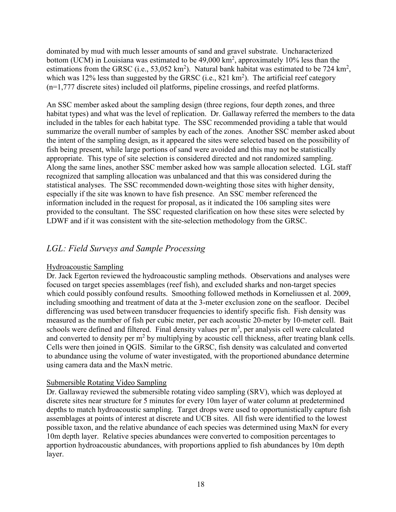dominated by mud with much lesser amounts of sand and gravel substrate. Uncharacterized bottom (UCM) in Louisiana was estimated to be 49,000 km<sup>2</sup>, approximately 10% less than the estimations from the GRSC (i.e., 53,052 km<sup>2</sup>). Natural bank habitat was estimated to be 724 km<sup>2</sup>, which was 12% less than suggested by the GRSC (i.e.,  $821 \text{ km}^2$ ). The artificial reef category (n=1,777 discrete sites) included oil platforms, pipeline crossings, and reefed platforms.

An SSC member asked about the sampling design (three regions, four depth zones, and three habitat types) and what was the level of replication. Dr. Gallaway referred the members to the data included in the tables for each habitat type. The SSC recommended providing a table that would summarize the overall number of samples by each of the zones. Another SSC member asked about the intent of the sampling design, as it appeared the sites were selected based on the possibility of fish being present, while large portions of sand were avoided and this may not be statistically appropriate. This type of site selection is considered directed and not randomized sampling. Along the same lines, another SSC member asked how was sample allocation selected. LGL staff recognized that sampling allocation was unbalanced and that this was considered during the statistical analyses. The SSC recommended down-weighting those sites with higher density, especially if the site was known to have fish presence. An SSC member referenced the information included in the request for proposal, as it indicated the 106 sampling sites were provided to the consultant. The SSC requested clarification on how these sites were selected by LDWF and if it was consistent with the site-selection methodology from the GRSC.

# *LGL: Field Surveys and Sample Processing*

### Hydroacoustic Sampling

Dr. Jack Egerton reviewed the hydroacoustic sampling methods. Observations and analyses were focused on target species assemblages (reef fish), and excluded sharks and non-target species which could possibly confound results. Smoothing followed methods in Korneliussen et al. 2009, including smoothing and treatment of data at the 3-meter exclusion zone on the seafloor. Decibel differencing was used between transducer frequencies to identify specific fish. Fish density was measured as the number of fish per cubic meter, per each acoustic 20-meter by 10-meter cell. Bait schools were defined and filtered. Final density values per  $m<sup>3</sup>$ , per analysis cell were calculated and converted to density per  $m<sup>2</sup>$  by multiplying by acoustic cell thickness, after treating blank cells. Cells were then joined in QGIS. Similar to the GRSC, fish density was calculated and converted to abundance using the volume of water investigated, with the proportioned abundance determine using camera data and the MaxN metric.

### Submersible Rotating Video Sampling

Dr. Gallaway reviewed the submersible rotating video sampling (SRV), which was deployed at discrete sites near structure for 5 minutes for every 10m layer of water column at predetermined depths to match hydroacoustic sampling. Target drops were used to opportunistically capture fish assemblages at points of interest at discrete and UCB sites. All fish were identified to the lowest possible taxon, and the relative abundance of each species was determined using MaxN for every 10m depth layer. Relative species abundances were converted to composition percentages to apportion hydroacoustic abundances, with proportions applied to fish abundances by 10m depth layer.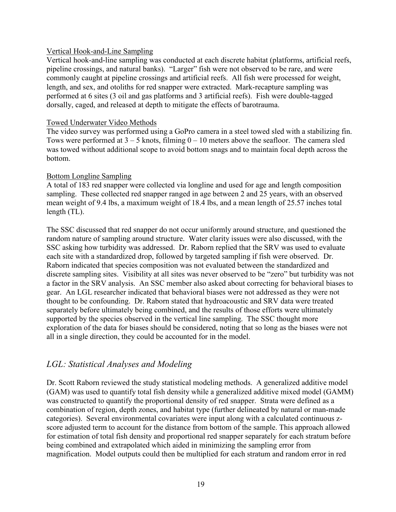#### Vertical Hook-and-Line Sampling

Vertical hook-and-line sampling was conducted at each discrete habitat (platforms, artificial reefs, pipeline crossings, and natural banks). "Larger" fish were not observed to be rare, and were commonly caught at pipeline crossings and artificial reefs. All fish were processed for weight, length, and sex, and otoliths for red snapper were extracted. Mark-recapture sampling was performed at 6 sites (3 oil and gas platforms and 3 artificial reefs). Fish were double-tagged dorsally, caged, and released at depth to mitigate the effects of barotrauma.

#### Towed Underwater Video Methods

The video survey was performed using a GoPro camera in a steel towed sled with a stabilizing fin. Tows were performed at  $3 - 5$  knots, filming  $0 - 10$  meters above the seafloor. The camera sled was towed without additional scope to avoid bottom snags and to maintain focal depth across the bottom.

#### Bottom Longline Sampling

A total of 183 red snapper were collected via longline and used for age and length composition sampling. These collected red snapper ranged in age between 2 and 25 years, with an observed mean weight of 9.4 lbs, a maximum weight of 18.4 lbs, and a mean length of 25.57 inches total length (TL).

The SSC discussed that red snapper do not occur uniformly around structure, and questioned the random nature of sampling around structure. Water clarity issues were also discussed, with the SSC asking how turbidity was addressed. Dr. Raborn replied that the SRV was used to evaluate each site with a standardized drop, followed by targeted sampling if fish were observed. Dr. Raborn indicated that species composition was not evaluated between the standardized and discrete sampling sites. Visibility at all sites was never observed to be "zero" but turbidity was not a factor in the SRV analysis. An SSC member also asked about correcting for behavioral biases to gear. An LGL researcher indicated that behavioral biases were not addressed as they were not thought to be confounding. Dr. Raborn stated that hydroacoustic and SRV data were treated separately before ultimately being combined, and the results of those efforts were ultimately supported by the species observed in the vertical line sampling. The SSC thought more exploration of the data for biases should be considered, noting that so long as the biases were not all in a single direction, they could be accounted for in the model.

## *LGL: Statistical Analyses and Modeling*

Dr. Scott Raborn reviewed the study statistical modeling methods. A generalized additive model (GAM) was used to quantify total fish density while a generalized additive mixed model (GAMM) was constructed to quantify the proportional density of red snapper. Strata were defined as a combination of region, depth zones, and habitat type (further delineated by natural or man-made categories). Several environmental covariates were input along with a calculated continuous zscore adjusted term to account for the distance from bottom of the sample. This approach allowed for estimation of total fish density and proportional red snapper separately for each stratum before being combined and extrapolated which aided in minimizing the sampling error from magnification. Model outputs could then be multiplied for each stratum and random error in red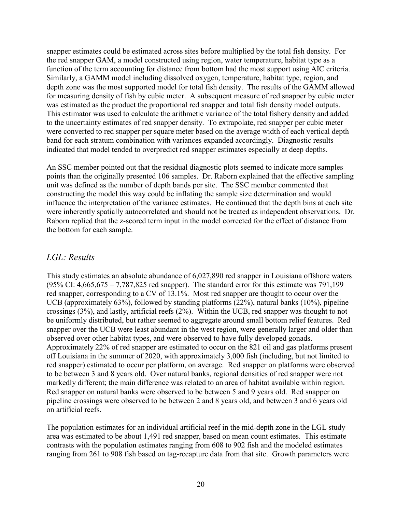snapper estimates could be estimated across sites before multiplied by the total fish density. For the red snapper GAM, a model constructed using region, water temperature, habitat type as a function of the term accounting for distance from bottom had the most support using AIC criteria. Similarly, a GAMM model including dissolved oxygen, temperature, habitat type, region, and depth zone was the most supported model for total fish density. The results of the GAMM allowed for measuring density of fish by cubic meter. A subsequent measure of red snapper by cubic meter was estimated as the product the proportional red snapper and total fish density model outputs. This estimator was used to calculate the arithmetic variance of the total fishery density and added to the uncertainty estimates of red snapper density. To extrapolate, red snapper per cubic meter were converted to red snapper per square meter based on the average width of each vertical depth band for each stratum combination with variances expanded accordingly. Diagnostic results indicated that model tended to overpredict red snapper estimates especially at deep depths.

An SSC member pointed out that the residual diagnostic plots seemed to indicate more samples points than the originally presented 106 samples. Dr. Raborn explained that the effective sampling unit was defined as the number of depth bands per site. The SSC member commented that constructing the model this way could be inflating the sample size determination and would influence the interpretation of the variance estimates. He continued that the depth bins at each site were inherently spatially autocorrelated and should not be treated as independent observations. Dr. Raborn replied that the z-scored term input in the model corrected for the effect of distance from the bottom for each sample.

### *LGL: Results*

This study estimates an absolute abundance of 6,027,890 red snapper in Louisiana offshore waters (95% CI: 4,665,675 – 7,787,825 red snapper). The standard error for this estimate was 791,199 red snapper, corresponding to a CV of 13.1%. Most red snapper are thought to occur over the UCB (approximately 63%), followed by standing platforms (22%), natural banks (10%), pipeline crossings (3%), and lastly, artificial reefs (2%). Within the UCB, red snapper was thought to not be uniformly distributed, but rather seemed to aggregate around small bottom relief features. Red snapper over the UCB were least abundant in the west region, were generally larger and older than observed over other habitat types, and were observed to have fully developed gonads. Approximately 22% of red snapper are estimated to occur on the 821 oil and gas platforms present off Louisiana in the summer of 2020, with approximately 3,000 fish (including, but not limited to red snapper) estimated to occur per platform, on average. Red snapper on platforms were observed to be between 3 and 8 years old. Over natural banks, regional densities of red snapper were not markedly different; the main difference was related to an area of habitat available within region. Red snapper on natural banks were observed to be between 5 and 9 years old. Red snapper on pipeline crossings were observed to be between 2 and 8 years old, and between 3 and 6 years old on artificial reefs.

The population estimates for an individual artificial reef in the mid-depth zone in the LGL study area was estimated to be about 1,491 red snapper, based on mean count estimates. This estimate contrasts with the population estimates ranging from 608 to 902 fish and the modeled estimates ranging from 261 to 908 fish based on tag-recapture data from that site. Growth parameters were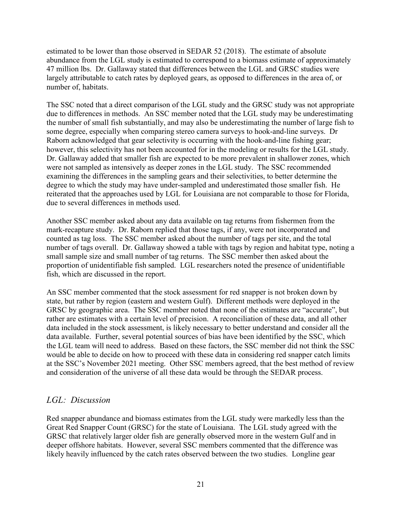estimated to be lower than those observed in SEDAR 52 (2018). The estimate of absolute abundance from the LGL study is estimated to correspond to a biomass estimate of approximately 47 million lbs. Dr. Gallaway stated that differences between the LGL and GRSC studies were largely attributable to catch rates by deployed gears, as opposed to differences in the area of, or number of, habitats.

The SSC noted that a direct comparison of the LGL study and the GRSC study was not appropriate due to differences in methods. An SSC member noted that the LGL study may be underestimating the number of small fish substantially, and may also be underestimating the number of large fish to some degree, especially when comparing stereo camera surveys to hook-and-line surveys. Dr Raborn acknowledged that gear selectivity is occurring with the hook-and-line fishing gear; however, this selectivity has not been accounted for in the modeling or results for the LGL study. Dr. Gallaway added that smaller fish are expected to be more prevalent in shallower zones, which were not sampled as intensively as deeper zones in the LGL study. The SSC recommended examining the differences in the sampling gears and their selectivities, to better determine the degree to which the study may have under-sampled and underestimated those smaller fish. He reiterated that the approaches used by LGL for Louisiana are not comparable to those for Florida, due to several differences in methods used.

Another SSC member asked about any data available on tag returns from fishermen from the mark-recapture study. Dr. Raborn replied that those tags, if any, were not incorporated and counted as tag loss. The SSC member asked about the number of tags per site, and the total number of tags overall. Dr. Gallaway showed a table with tags by region and habitat type, noting a small sample size and small number of tag returns. The SSC member then asked about the proportion of unidentifiable fish sampled. LGL researchers noted the presence of unidentifiable fish, which are discussed in the report.

An SSC member commented that the stock assessment for red snapper is not broken down by state, but rather by region (eastern and western Gulf). Different methods were deployed in the GRSC by geographic area. The SSC member noted that none of the estimates are "accurate", but rather are estimates with a certain level of precision. A reconciliation of these data, and all other data included in the stock assessment, is likely necessary to better understand and consider all the data available. Further, several potential sources of bias have been identified by the SSC, which the LGL team will need to address. Based on these factors, the SSC member did not think the SSC would be able to decide on how to proceed with these data in considering red snapper catch limits at the SSC's November 2021 meeting. Other SSC members agreed, that the best method of review and consideration of the universe of all these data would be through the SEDAR process.

## *LGL: Discussion*

Red snapper abundance and biomass estimates from the LGL study were markedly less than the Great Red Snapper Count (GRSC) for the state of Louisiana. The LGL study agreed with the GRSC that relatively larger older fish are generally observed more in the western Gulf and in deeper offshore habitats. However, several SSC members commented that the difference was likely heavily influenced by the catch rates observed between the two studies. Longline gear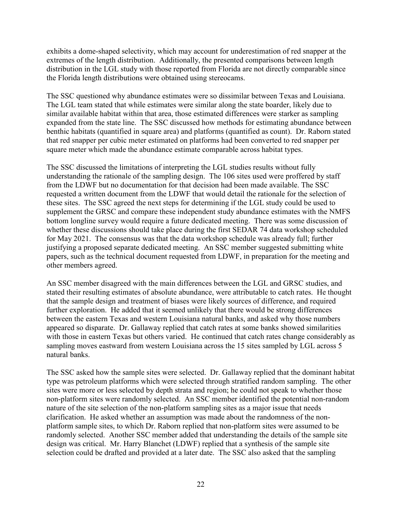exhibits a dome-shaped selectivity, which may account for underestimation of red snapper at the extremes of the length distribution. Additionally, the presented comparisons between length distribution in the LGL study with those reported from Florida are not directly comparable since the Florida length distributions were obtained using stereocams.

The SSC questioned why abundance estimates were so dissimilar between Texas and Louisiana. The LGL team stated that while estimates were similar along the state boarder, likely due to similar available habitat within that area, those estimated differences were starker as sampling expanded from the state line. The SSC discussed how methods for estimating abundance between benthic habitats (quantified in square area) and platforms (quantified as count). Dr. Raborn stated that red snapper per cubic meter estimated on platforms had been converted to red snapper per square meter which made the abundance estimate comparable across habitat types.

The SSC discussed the limitations of interpreting the LGL studies results without fully understanding the rationale of the sampling design. The 106 sites used were proffered by staff from the LDWF but no documentation for that decision had been made available. The SSC requested a written document from the LDWF that would detail the rationale for the selection of these sites. The SSC agreed the next steps for determining if the LGL study could be used to supplement the GRSC and compare these independent study abundance estimates with the NMFS bottom longline survey would require a future dedicated meeting. There was some discussion of whether these discussions should take place during the first SEDAR 74 data workshop scheduled for May 2021. The consensus was that the data workshop schedule was already full; further justifying a proposed separate dedicated meeting. An SSC member suggested submitting white papers, such as the technical document requested from LDWF, in preparation for the meeting and other members agreed.

An SSC member disagreed with the main differences between the LGL and GRSC studies, and stated their resulting estimates of absolute abundance, were attributable to catch rates. He thought that the sample design and treatment of biases were likely sources of difference, and required further exploration. He added that it seemed unlikely that there would be strong differences between the eastern Texas and western Louisiana natural banks, and asked why those numbers appeared so disparate. Dr. Gallaway replied that catch rates at some banks showed similarities with those in eastern Texas but others varied. He continued that catch rates change considerably as sampling moves eastward from western Louisiana across the 15 sites sampled by LGL across 5 natural banks.

The SSC asked how the sample sites were selected. Dr. Gallaway replied that the dominant habitat type was petroleum platforms which were selected through stratified random sampling. The other sites were more or less selected by depth strata and region; he could not speak to whether those non-platform sites were randomly selected. An SSC member identified the potential non-random nature of the site selection of the non-platform sampling sites as a major issue that needs clarification. He asked whether an assumption was made about the randomness of the nonplatform sample sites, to which Dr. Raborn replied that non-platform sites were assumed to be randomly selected. Another SSC member added that understanding the details of the sample site design was critical. Mr. Harry Blanchet (LDWF) replied that a synthesis of the sample site selection could be drafted and provided at a later date. The SSC also asked that the sampling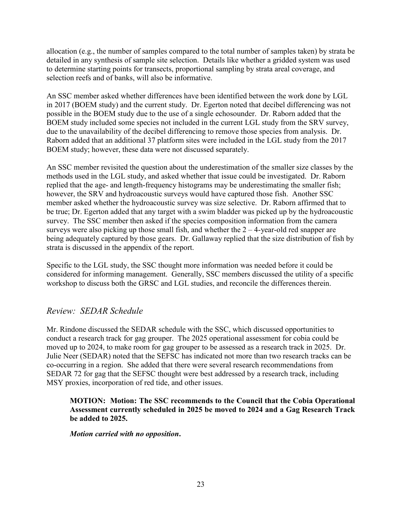allocation (e.g., the number of samples compared to the total number of samples taken) by strata be detailed in any synthesis of sample site selection. Details like whether a gridded system was used to determine starting points for transects, proportional sampling by strata areal coverage, and selection reefs and of banks, will also be informative.

An SSC member asked whether differences have been identified between the work done by LGL in 2017 (BOEM study) and the current study. Dr. Egerton noted that decibel differencing was not possible in the BOEM study due to the use of a single echosounder. Dr. Raborn added that the BOEM study included some species not included in the current LGL study from the SRV survey, due to the unavailability of the decibel differencing to remove those species from analysis. Dr. Raborn added that an additional 37 platform sites were included in the LGL study from the 2017 BOEM study; however, these data were not discussed separately.

An SSC member revisited the question about the underestimation of the smaller size classes by the methods used in the LGL study, and asked whether that issue could be investigated. Dr. Raborn replied that the age- and length-frequency histograms may be underestimating the smaller fish; however, the SRV and hydroacoustic surveys would have captured those fish. Another SSC member asked whether the hydroacoustic survey was size selective. Dr. Raborn affirmed that to be true; Dr. Egerton added that any target with a swim bladder was picked up by the hydroacoustic survey. The SSC member then asked if the species composition information from the camera surveys were also picking up those small fish, and whether the  $2 - 4$ -year-old red snapper are being adequately captured by those gears. Dr. Gallaway replied that the size distribution of fish by strata is discussed in the appendix of the report.

Specific to the LGL study, the SSC thought more information was needed before it could be considered for informing management. Generally, SSC members discussed the utility of a specific workshop to discuss both the GRSC and LGL studies, and reconcile the differences therein.

### *Review: SEDAR Schedule*

Mr. Rindone discussed the SEDAR schedule with the SSC, which discussed opportunities to conduct a research track for gag grouper. The 2025 operational assessment for cobia could be moved up to 2024, to make room for gag grouper to be assessed as a research track in 2025. Dr. Julie Neer (SEDAR) noted that the SEFSC has indicated not more than two research tracks can be co-occurring in a region. She added that there were several research recommendations from SEDAR 72 for gag that the SEFSC thought were best addressed by a research track, including MSY proxies, incorporation of red tide, and other issues.

**MOTION: Motion: The SSC recommends to the Council that the Cobia Operational Assessment currently scheduled in 2025 be moved to 2024 and a Gag Research Track be added to 2025.**

*Motion carried with no opposition***.**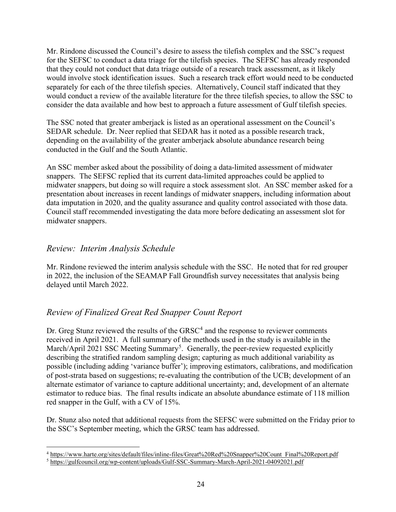Mr. Rindone discussed the Council's desire to assess the tilefish complex and the SSC's request for the SEFSC to conduct a data triage for the tilefish species. The SEFSC has already responded that they could not conduct that data triage outside of a research track assessment, as it likely would involve stock identification issues. Such a research track effort would need to be conducted separately for each of the three tilefish species. Alternatively, Council staff indicated that they would conduct a review of the available literature for the three tilefish species, to allow the SSC to consider the data available and how best to approach a future assessment of Gulf tilefish species.

The SSC noted that greater amberjack is listed as an operational assessment on the Council's SEDAR schedule. Dr. Neer replied that SEDAR has it noted as a possible research track, depending on the availability of the greater amberjack absolute abundance research being conducted in the Gulf and the South Atlantic.

An SSC member asked about the possibility of doing a data-limited assessment of midwater snappers. The SEFSC replied that its current data-limited approaches could be applied to midwater snappers, but doing so will require a stock assessment slot. An SSC member asked for a presentation about increases in recent landings of midwater snappers, including information about data imputation in 2020, and the quality assurance and quality control associated with those data. Council staff recommended investigating the data more before dedicating an assessment slot for midwater snappers.

# *Review: Interim Analysis Schedule*

Mr. Rindone reviewed the interim analysis schedule with the SSC. He noted that for red grouper in 2022, the inclusion of the SEAMAP Fall Groundfish survey necessitates that analysis being delayed until March 2022.

# *Review of Finalized Great Red Snapper Count Report*

Dr. Greg Stunz reviewed the results of the  $GRSC<sup>4</sup>$  $GRSC<sup>4</sup>$  $GRSC<sup>4</sup>$  and the response to reviewer comments received in April 2021. A full summary of the methods used in the study is available in the March/April 2021 SSC Meeting Summary<sup>[5](#page-23-1)</sup>. Generally, the peer-review requested explicitly describing the stratified random sampling design; capturing as much additional variability as possible (including adding 'variance buffer'); improving estimators, calibrations, and modification of post-strata based on suggestions; re-evaluating the contribution of the UCB; development of an alternate estimator of variance to capture additional uncertainty; and, development of an alternate estimator to reduce bias. The final results indicate an absolute abundance estimate of 118 million red snapper in the Gulf, with a CV of 15%.

Dr. Stunz also noted that additional requests from the SEFSC were submitted on the Friday prior to the SSC's September meeting, which the GRSC team has addressed.

<span id="page-23-0"></span><sup>&</sup>lt;sup>4</sup> [https://www.harte.org/sites/default/files/inline-files/Great%20Red%20Snapper%20Count\\_Final%20Report.pdf](https://www.harte.org/sites/default/files/inline-files/Great%20Red%20Snapper%20Count_Final%20Report.pdf)

<span id="page-23-1"></span><sup>5</sup> <https://gulfcouncil.org/wp-content/uploads/Gulf-SSC-Summary-March-April-2021-04092021.pdf>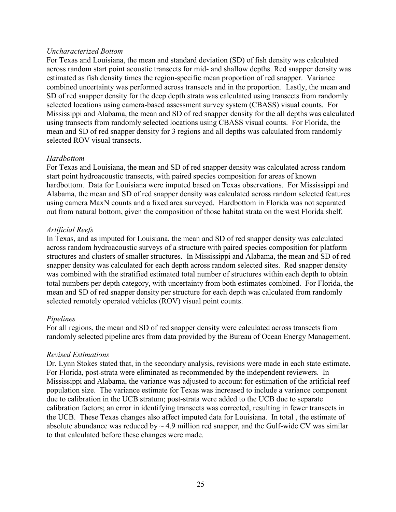#### *Uncharacterized Bottom*

For Texas and Louisiana, the mean and standard deviation (SD) of fish density was calculated across random start point acoustic transects for mid- and shallow depths. Red snapper density was estimated as fish density times the region-specific mean proportion of red snapper. Variance combined uncertainty was performed across transects and in the proportion. Lastly, the mean and SD of red snapper density for the deep depth strata was calculated using transects from randomly selected locations using camera-based assessment survey system (CBASS) visual counts. For Mississippi and Alabama, the mean and SD of red snapper density for the all depths was calculated using transects from randomly selected locations using CBASS visual counts. For Florida, the mean and SD of red snapper density for 3 regions and all depths was calculated from randomly selected ROV visual transects.

#### *Hardbottom*

For Texas and Louisiana, the mean and SD of red snapper density was calculated across random start point hydroacoustic transects, with paired species composition for areas of known hardbottom. Data for Louisiana were imputed based on Texas observations. For Mississippi and Alabama, the mean and SD of red snapper density was calculated across random selected features using camera MaxN counts and a fixed area surveyed. Hardbottom in Florida was not separated out from natural bottom, given the composition of those habitat strata on the west Florida shelf.

#### *Artificial Reefs*

In Texas, and as imputed for Louisiana, the mean and SD of red snapper density was calculated across random hydroacoustic surveys of a structure with paired species composition for platform structures and clusters of smaller structures. In Mississippi and Alabama, the mean and SD of red snapper density was calculated for each depth across random selected sites. Red snapper density was combined with the stratified estimated total number of structures within each depth to obtain total numbers per depth category, with uncertainty from both estimates combined. For Florida, the mean and SD of red snapper density per structure for each depth was calculated from randomly selected remotely operated vehicles (ROV) visual point counts.

#### *Pipelines*

For all regions, the mean and SD of red snapper density were calculated across transects from randomly selected pipeline arcs from data provided by the Bureau of Ocean Energy Management.

#### *Revised Estimations*

Dr. Lynn Stokes stated that, in the secondary analysis, revisions were made in each state estimate. For Florida, post-strata were eliminated as recommended by the independent reviewers. In Mississippi and Alabama, the variance was adjusted to account for estimation of the artificial reef population size. The variance estimate for Texas was increased to include a variance component due to calibration in the UCB stratum; post-strata were added to the UCB due to separate calibration factors; an error in identifying transects was corrected, resulting in fewer transects in the UCB. These Texas changes also affect imputed data for Louisiana. In total , the estimate of absolute abundance was reduced by  $\sim$  4.9 million red snapper, and the Gulf-wide CV was similar to that calculated before these changes were made.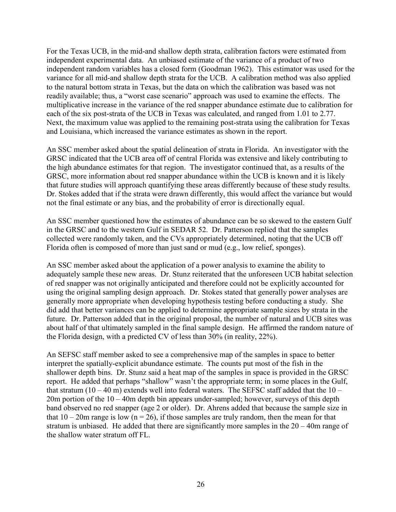For the Texas UCB, in the mid-and shallow depth strata, calibration factors were estimated from independent experimental data. An unbiased estimate of the variance of a product of two independent random variables has a closed form (Goodman 1962). This estimator was used for the variance for all mid-and shallow depth strata for the UCB. A calibration method was also applied to the natural bottom strata in Texas, but the data on which the calibration was based was not readily available; thus, a "worst case scenario" approach was used to examine the effects. The multiplicative increase in the variance of the red snapper abundance estimate due to calibration for each of the six post-strata of the UCB in Texas was calculated, and ranged from 1.01 to 2.77. Next, the maximum value was applied to the remaining post-strata using the calibration for Texas and Louisiana, which increased the variance estimates as shown in the report.

An SSC member asked about the spatial delineation of strata in Florida. An investigator with the GRSC indicated that the UCB area off of central Florida was extensive and likely contributing to the high abundance estimates for that region. The investigator continued that, as a results of the GRSC, more information about red snapper abundance within the UCB is known and it is likely that future studies will approach quantifying these areas differently because of these study results. Dr. Stokes added that if the strata were drawn differently, this would affect the variance but would not the final estimate or any bias, and the probability of error is directionally equal.

An SSC member questioned how the estimates of abundance can be so skewed to the eastern Gulf in the GRSC and to the western Gulf in SEDAR 52. Dr. Patterson replied that the samples collected were randomly taken, and the CVs appropriately determined, noting that the UCB off Florida often is composed of more than just sand or mud (e.g., low relief, sponges).

An SSC member asked about the application of a power analysis to examine the ability to adequately sample these new areas. Dr. Stunz reiterated that the unforeseen UCB habitat selection of red snapper was not originally anticipated and therefore could not be explicitly accounted for using the original sampling design approach. Dr. Stokes stated that generally power analyses are generally more appropriate when developing hypothesis testing before conducting a study. She did add that better variances can be applied to determine appropriate sample sizes by strata in the future. Dr. Patterson added that in the original proposal, the number of natural and UCB sites was about half of that ultimately sampled in the final sample design. He affirmed the random nature of the Florida design, with a predicted CV of less than 30% (in reality, 22%).

An SEFSC staff member asked to see a comprehensive map of the samples in space to better interpret the spatially-explicit abundance estimate. The counts put most of the fish in the shallower depth bins. Dr. Stunz said a heat map of the samples in space is provided in the GRSC report. He added that perhaps "shallow" wasn't the appropriate term; in some places in the Gulf, that stratum  $(10 - 40 \text{ m})$  extends well into federal waters. The SEFSC staff added that the  $10 -$ 20m portion of the 10 – 40m depth bin appears under-sampled; however, surveys of this depth band observed no red snapper (age 2 or older). Dr. Ahrens added that because the sample size in that  $10 - 20$ m range is low (n = 26), if those samples are truly random, then the mean for that stratum is unbiased. He added that there are significantly more samples in the 20 – 40m range of the shallow water stratum off FL.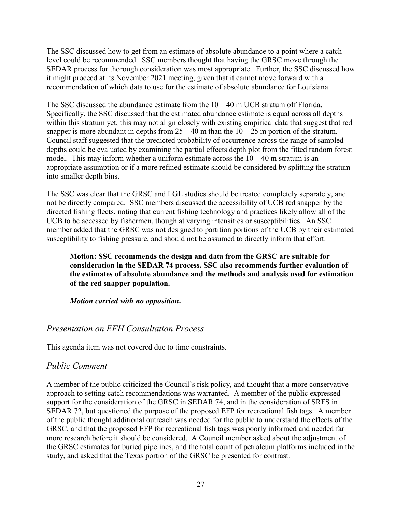The SSC discussed how to get from an estimate of absolute abundance to a point where a catch level could be recommended. SSC members thought that having the GRSC move through the SEDAR process for thorough consideration was most appropriate. Further, the SSC discussed how it might proceed at its November 2021 meeting, given that it cannot move forward with a recommendation of which data to use for the estimate of absolute abundance for Louisiana.

The SSC discussed the abundance estimate from the  $10 - 40$  m UCB stratum off Florida. Specifically, the SSC discussed that the estimated abundance estimate is equal across all depths within this stratum yet, this may not align closely with existing empirical data that suggest that red snapper is more abundant in depths from  $25 - 40$  m than the  $10 - 25$  m portion of the stratum. Council staff suggested that the predicted probability of occurrence across the range of sampled depths could be evaluated by examining the partial effects depth plot from the fitted random forest model. This may inform whether a uniform estimate across the  $10 - 40$  m stratum is an appropriate assumption or if a more refined estimate should be considered by splitting the stratum into smaller depth bins.

The SSC was clear that the GRSC and LGL studies should be treated completely separately, and not be directly compared. SSC members discussed the accessibility of UCB red snapper by the directed fishing fleets, noting that current fishing technology and practices likely allow all of the UCB to be accessed by fishermen, though at varying intensities or susceptibilities. An SSC member added that the GRSC was not designed to partition portions of the UCB by their estimated susceptibility to fishing pressure, and should not be assumed to directly inform that effort.

### **Motion: SSC recommends the design and data from the GRSC are suitable for consideration in the SEDAR 74 process. SSC also recommends further evaluation of the estimates of absolute abundance and the methods and analysis used for estimation of the red snapper population.**

*Motion carried with no opposition***.**

## *Presentation on EFH Consultation Process*

This agenda item was not covered due to time constraints.

### *Public Comment*

A member of the public criticized the Council's risk policy, and thought that a more conservative approach to setting catch recommendations was warranted. A member of the public expressed support for the consideration of the GRSC in SEDAR 74, and in the consideration of SRFS in SEDAR 72, but questioned the purpose of the proposed EFP for recreational fish tags. A member of the public thought additional outreach was needed for the public to understand the effects of the GRSC, and that the proposed EFP for recreational fish tags was poorly informed and needed far more research before it should be considered. A Council member asked about the adjustment of the GRSC estimates for buried pipelines, and the total count of petroleum platforms included in the study, and asked that the Texas portion of the GRSC be presented for contrast.